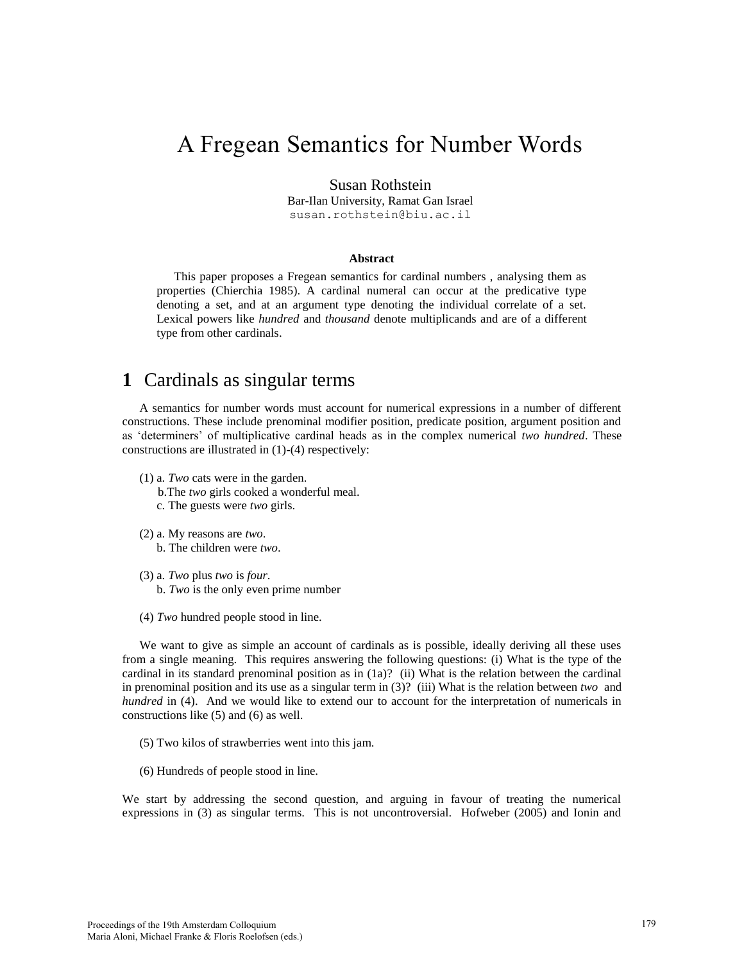# A Fregean Semantics for Number Words

#### Susan Rothstein

Bar-Ilan University, Ramat Gan Israel susan.rothstein@biu.ac.il

#### **Abstract**

This paper proposes a Fregean semantics for cardinal numbers , analysing them as properties (Chierchia 1985). A cardinal numeral can occur at the predicative type denoting a set, and at an argument type denoting the individual correlate of a set. Lexical powers like *hundred* and *thousand* denote multiplicands and are of a different type from other cardinals.

## **1** Cardinals as singular terms

A semantics for number words must account for numerical expressions in a number of different constructions. These include prenominal modifier position, predicate position, argument position and as 'determiners' of multiplicative cardinal heads as in the complex numerical *two hundred*. These constructions are illustrated in (1)-(4) respectively:

- (1) a. *Two* cats were in the garden.
	- b.The *two* girls cooked a wonderful meal.
	- c. The guests were *two* girls.
- (2) a. My reasons are *two*.
	- b. The children were *two*.
- (3) a. *Two* plus *two* is *four*.
	- b. *Two* is the only even prime number
- (4) *Two* hundred people stood in line.

We want to give as simple an account of cardinals as is possible, ideally deriving all these uses from a single meaning. This requires answering the following questions: (i) What is the type of the cardinal in its standard prenominal position as in (1a)? (ii) What is the relation between the cardinal in prenominal position and its use as a singular term in (3)? (iii) What is the relation between *two* and *hundred* in (4). And we would like to extend our to account for the interpretation of numericals in constructions like (5) and (6) as well.

- (5) Two kilos of strawberries went into this jam.
- (6) Hundreds of people stood in line.

We start by addressing the second question, and arguing in favour of treating the numerical expressions in (3) as singular terms. This is not uncontroversial. Hofweber (2005) and Ionin and

179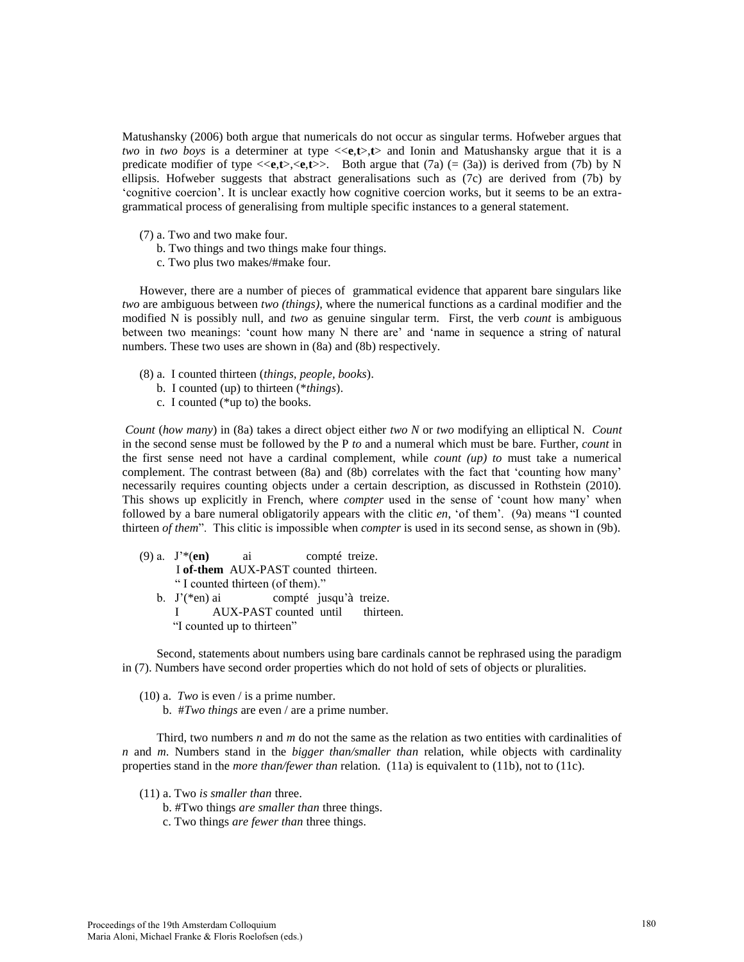Matushansky (2006) both argue that numericals do not occur as singular terms. Hofweber argues that *two* in *two boys* is a determiner at type  $\langle\langle e,t\rangle, t\rangle$  and Ionin and Matushansky argue that it is a predicate modifier of type  $\langle\langle e, t\rangle, \langle e, t\rangle\rangle$ . Both argue that (7a) (= (3a)) is derived from (7b) by N ellipsis. Hofweber suggests that abstract generalisations such as (7c) are derived from (7b) by 'cognitive coercion'. It is unclear exactly how cognitive coercion works, but it seems to be an extragrammatical process of generalising from multiple specific instances to a general statement.

- (7) a. Two and two make four.
	- b. Two things and two things make four things.
	- c. Two plus two makes/#make four.

However, there are a number of pieces of grammatical evidence that apparent bare singulars like *two* are ambiguous between *two (things)*, where the numerical functions as a cardinal modifier and the modified N is possibly null, and *two* as genuine singular term. First, the verb *count* is ambiguous between two meanings: 'count how many N there are' and 'name in sequence a string of natural numbers. These two uses are shown in (8a) and (8b) respectively.

- (8) a. I counted thirteen (*things, people, books*).
	- b. I counted (up) to thirteen (\**things*).
	- c. I counted (\*up to) the books.

*Count* (*how many*) in (8a) takes a direct object either *two N* or *two* modifying an elliptical N. *Count* in the second sense must be followed by the P *to* and a numeral which must be bare. Further, *count* in the first sense need not have a cardinal complement, while *count (up) to* must take a numerical complement. The contrast between (8a) and (8b) correlates with the fact that 'counting how many' necessarily requires counting objects under a certain description, as discussed in Rothstein (2010). This shows up explicitly in French, where *compter* used in the sense of 'count how many' when followed by a bare numeral obligatorily appears with the clitic *en*, 'of them'. (9a) means "I counted thirteen *of them*". This clitic is impossible when *compter* is used in its second sense, as shown in (9b).

- (9) a. J'\*(**en)** ai compté treize. I **of-them** AUX-PAST counted thirteen. " I counted thirteen (of them)." b. J'(\*en) ai compté jusqu'à treize.
	- I AUX-PAST counted until thirteen. "I counted up to thirteen"

Second, statements about numbers using bare cardinals cannot be rephrased using the paradigm in (7). Numbers have second order properties which do not hold of sets of objects or pluralities.

- (10) a. *Two* is even / is a prime number.
	- b. #*Two things* are even / are a prime number.

Third, two numbers *n* and *m* do not the same as the relation as two entities with cardinalities of *n* and *m*. Numbers stand in the *bigger than/smaller than* relation, while objects with cardinality properties stand in the *more than/fewer than* relation. (11a) is equivalent to (11b), not to (11c).

- (11) a. Two *is smaller than* three.
	- b. #Two things *are smaller than* three things.
	- c. Two things *are fewer than* three things.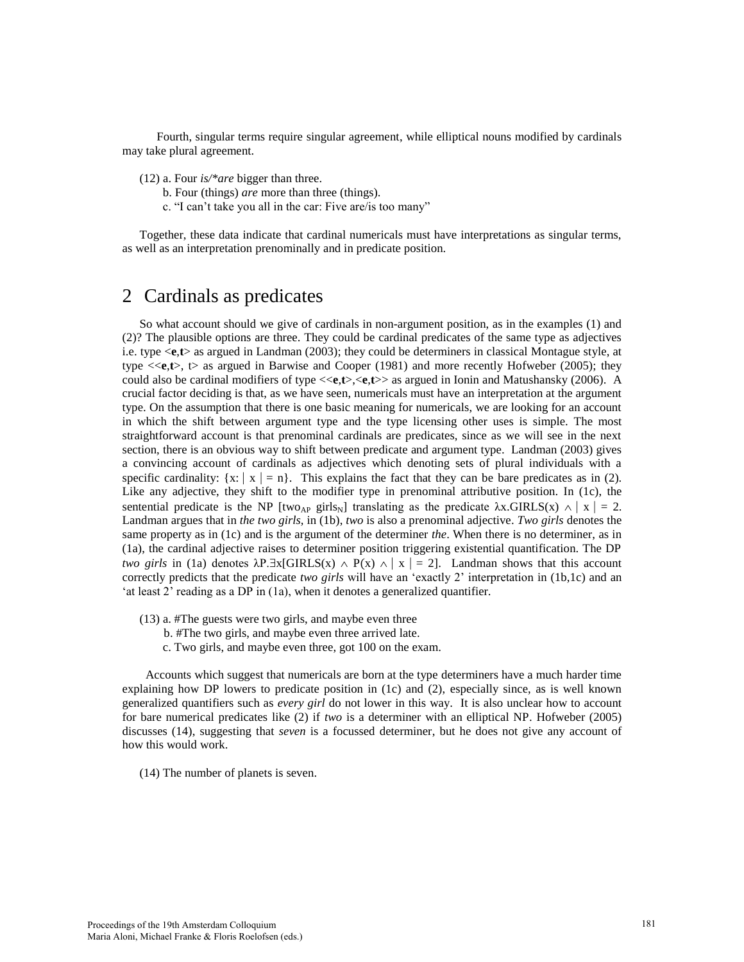Fourth, singular terms require singular agreement, while elliptical nouns modified by cardinals may take plural agreement.

- (12) a. Four *is/\*are* bigger than three.
	- b. Four (things) *are* more than three (things).
	- c. "I can't take you all in the car: Five are/is too many"

Together, these data indicate that cardinal numericals must have interpretations as singular terms, as well as an interpretation prenominally and in predicate position.

### 2 Cardinals as predicates

So what account should we give of cardinals in non-argument position, as in the examples (1) and (2)? The plausible options are three. They could be cardinal predicates of the same type as adjectives i.e. type <**e**,**t**> as argued in Landman (2003); they could be determiners in classical Montague style, at type  $\langle\langle e, t\rangle, \rangle$  as argued in Barwise and Cooper (1981) and more recently Hofweber (2005); they could also be cardinal modifiers of type <<**e**,**t**>,<**e**,**t**>> as argued in Ionin and Matushansky (2006). A crucial factor deciding is that, as we have seen, numericals must have an interpretation at the argument type. On the assumption that there is one basic meaning for numericals, we are looking for an account in which the shift between argument type and the type licensing other uses is simple. The most straightforward account is that prenominal cardinals are predicates, since as we will see in the next section, there is an obvious way to shift between predicate and argument type. Landman (2003) gives a convincing account of cardinals as adjectives which denoting sets of plural individuals with a specific cardinality:  $\{x: |x| = n\}$ . This explains the fact that they can be bare predicates as in (2). Like any adjective, they shift to the modifier type in prenominal attributive position. In (1c), the sentential predicate is the NP [two<sub>AP</sub> girls<sub>N</sub>] translating as the predicate  $\lambda x$ .GIRLS(x)  $\wedge$  | x | = 2. Landman argues that in *the two girls,* in (1b), *two* is also a prenominal adjective. *Two girls* denotes the same property as in (1c) and is the argument of the determiner *the*. When there is no determiner, as in (1a), the cardinal adjective raises to determiner position triggering existential quantification. The DP *two girls* in (1a) denotes  $\lambda$ P. $\exists$ x[GIRLS(x)  $\wedge$  P(x)  $\wedge$  | x | = 2]. Landman shows that this account correctly predicts that the predicate *two girls* will have an 'exactly 2' interpretation in (1b,1c) and an 'at least 2' reading as a DP in (1a), when it denotes a generalized quantifier.

- (13) a. #The guests were two girls, and maybe even three
	- b. #The two girls, and maybe even three arrived late.
	- c. Two girls, and maybe even three, got 100 on the exam.

 Accounts which suggest that numericals are born at the type determiners have a much harder time explaining how DP lowers to predicate position in (1c) and (2), especially since, as is well known generalized quantifiers such as *every girl* do not lower in this way. It is also unclear how to account for bare numerical predicates like (2) if *two* is a determiner with an elliptical NP. Hofweber (2005) discusses (14), suggesting that *seven* is a focussed determiner, but he does not give any account of how this would work.

(14) The number of planets is seven.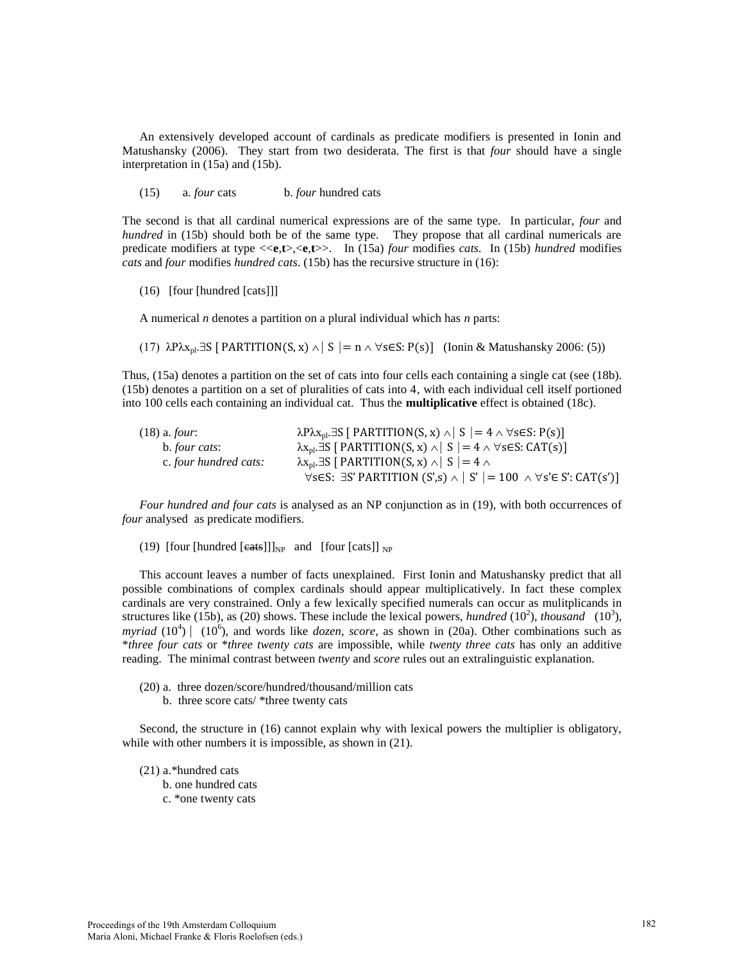An extensively developed account of cardinals as predicate modifiers is presented in Ionin and Matushansky (2006). They start from two desiderata. The first is that *four* should have a single interpretation in (15a) and (15b).

(15) a. *four* cats b. *four* hundred cats

The second is that all cardinal numerical expressions are of the same type. In particular, *four* and *hundred* in (15b) should both be of the same type. They propose that all cardinal numericals are predicate modifiers at type <<**e**,**t**>,<**e**,**t**>>. In (15a) *four* modifies *cats.* In (15b) *hundred* modifies *cats* and *four* modifies *hundred cats*. (15b) has the recursive structure in (16):

(16) [four [hundred [cats]]]

A numerical *n* denotes a partition on a plural individual which has *n* parts:

(17)  $\lambda P \lambda x_{pl} \exists S \ [\ \text{PARTITION}(S, x) \land \ \ \ \ S \ ] = n \land \ \ \forall s \in S: P(s) \ ]$  (Ionin & Matushansky 2006: (5))

Thus, (15a) denotes a partition on the set of cats into four cells each containing a single cat (see (18b). (15b) denotes a partition on a set of pluralities of cats into 4, with each individual cell itself portioned into 100 cells each containing an individual cat. Thus the **multiplicative** effect is obtained (18c).

| $(18)$ a. <i>four</i> : | $\lambda P \lambda x_{\text{pl}} \exists S \mid \text{PARTITION}(S, x) \wedge \mid S \mid = 4 \wedge \forall s \in S : P(s)$ |
|-------------------------|------------------------------------------------------------------------------------------------------------------------------|
| b. <i>four cats</i> :   | $\lambda x_{\rm pl}$ . ES [ PARTITION(S, x) $\wedge$   S   = 4 $\wedge$ $\forall$ s ES: CAT(s)]                              |
| c. four hundred cats:   | $\lambda$ x <sub>pl</sub> . 3S [ PARTITION(S, x) $\wedge$   S   = 4 $\wedge$                                                 |
|                         | $\forall s \in S$ : $\exists S'$ PARTITION $(S', s) \wedge  S'  = 100 \wedge \forall s' \in S'$ : CAT $(s')$ ]               |

*Four hundred and four cats* is analysed as an NP conjunction as in (19), with both occurrences of *four* analysed as predicate modifiers.

(19) [four [hundred [eats]]]<sub>NP</sub> and [four [cats]] <sub>NP</sub>

This account leaves a number of facts unexplained. First Ionin and Matushansky predict that all possible combinations of complex cardinals should appear multiplicatively. In fact these complex cardinals are very constrained. Only a few lexically specified numerals can occur as mulitplicands in structures like (15b), as (20) shows. These include the lexical powers, *hundred* (10<sup>2</sup>), *thousand* (10<sup>3</sup>), *myriad* (10<sup>4</sup>) | (10<sup>6</sup>), and words like *dozen, score*, as shown in (20a). Other combinations such as \**three four cats* or \**three twenty cats* are impossible, while *twenty three cats* has only an additive reading. The minimal contrast between *twenty* and *score* rules out an extralinguistic explanation.

- (20) a. three dozen/score/hundred/thousand/million cats
	- b. three score cats/ \*three twenty cats

Second, the structure in (16) cannot explain why with lexical powers the multiplier is obligatory, while with other numbers it is impossible, as shown in  $(21)$ .

- (21) a.\*hundred cats
	- b. one hundred cats
	- c. \*one twenty cats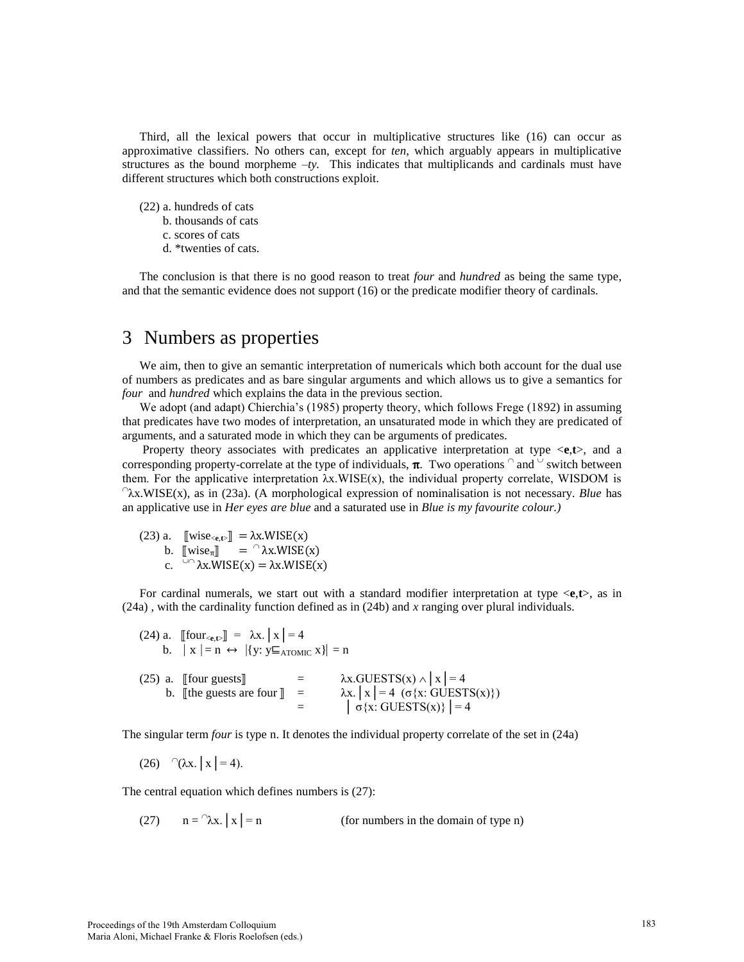Third, all the lexical powers that occur in multiplicative structures like (16) can occur as approximative classifiers. No others can, except for *ten*, which arguably appears in multiplicative structures as the bound morpheme  $-ty$ . This indicates that multiplicands and cardinals must have different structures which both constructions exploit.

- (22) a. hundreds of cats
	- b. thousands of cats
	- c. scores of cats
	- d. \*twenties of cats.

The conclusion is that there is no good reason to treat *four* and *hundred* as being the same type, and that the semantic evidence does not support (16) or the predicate modifier theory of cardinals.

### 3 Numbers as properties

We aim, then to give an semantic interpretation of numericals which both account for the dual use of numbers as predicates and as bare singular arguments and which allows us to give a semantics for *four* and *hundred* which explains the data in the previous section.

We adopt (and adapt) Chierchia's (1985) property theory, which follows Frege (1892) in assuming that predicates have two modes of interpretation, an unsaturated mode in which they are predicated of arguments, and a saturated mode in which they can be arguments of predicates.

 Property theory associates with predicates an applicative interpretation at type <**e**,**t**>, and a corresponding property-correlate at the type of individuals,  $\pi$ . Two operations  $\alpha$  and  $\alpha$  switch between them. For the applicative interpretation  $\lambda x.WISE(x)$ , the individual property correlate, WISDOM is λx.WISE(x), as in (23a). (A morphological expression of nominalisation is not necessary. *Blue* has an applicative use in *Her eyes are blue* and a saturated use in *Blue is my favourite colour.)* 

(23) a.  $\left[\text{wise}_{\leq \mathbf{e}, \mathbf{t}}\right] = \lambda \mathbf{x}.\mathsf{WISE}(\mathbf{x})$ b.  $[\![\text{wise}_{\pi}]\!] = \cap \lambda x. WISE(x)$ c.  $\sqrt{2}$   $\lambda$ x.WISE(x) =  $\lambda$ x.WISE(x)

For cardinal numerals, we start out with a standard modifier interpretation at type <**e**,**t**>, as in (24a) , with the cardinality function defined as in (24b) and *x* ranging over plural individuals.

| (24) a. [[four <sub><e,t></e,t></sub> ] = $\lambda$ x.   x   = 4<br>b. $\vert x \vert = n \leftrightarrow \vert \{y : y \sqsubseteq_{\text{ATOMIC}} x \} \vert = n$ |                                                                                                                               |
|---------------------------------------------------------------------------------------------------------------------------------------------------------------------|-------------------------------------------------------------------------------------------------------------------------------|
| $(25)$ a. [four guests]]<br>b. [the guests are four $\ $ =                                                                                                          | $\lambda x. GUESTS(x) \wedge  x  = 4$<br>$\lambda x.  x  = 4 (\sigma\{x: GUESTS(x)\})$<br>$\left  \sigma(x)$ : GUESTS(x)} = 4 |

The singular term *four* is type n. It denotes the individual property correlate of the set in (24a)

(26) <sup>∩</sup>(λx. | x | = 4).

The central equation which defines numbers is (27):

(27)  $n = \lambda x$ ,  $x = n$ (for numbers in the domain of type  $n$ )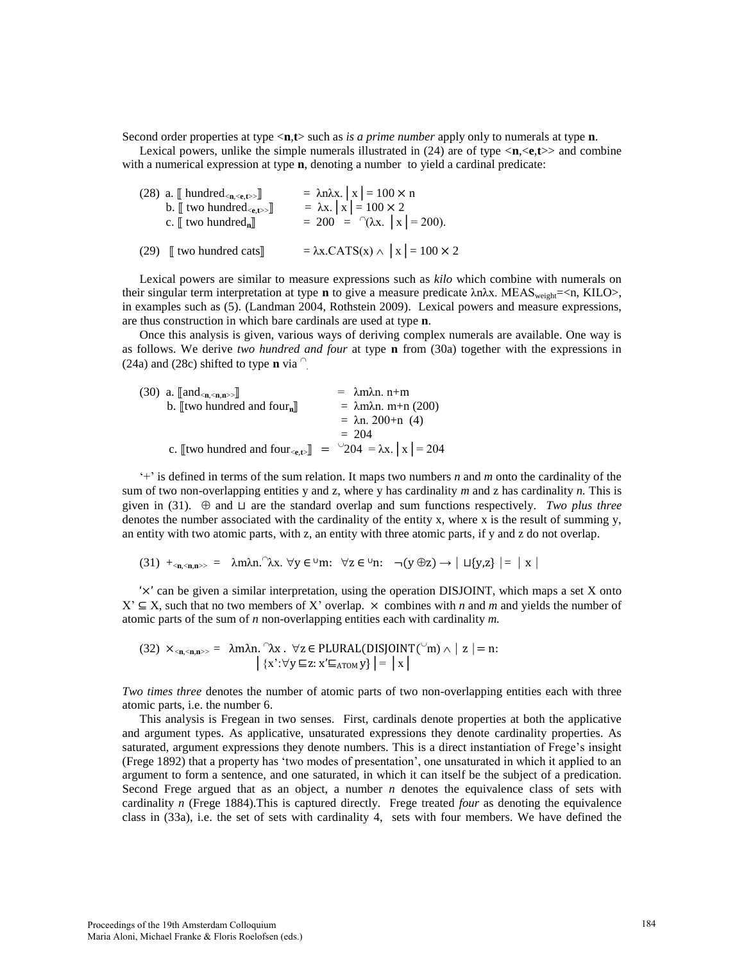Second order properties at type <**n**,**t**> such as *is a prime number* apply only to numerals at type **n**.

Lexical powers, unlike the simple numerals illustrated in  $(24)$  are of type  $\langle n, \langle e, t \rangle$  and combine with a numerical expression at type **n**, denoting a number to yield a cardinal predicate:

| (28) a. $[\![$ hundred <sub><n, <e,t="">&gt;<math>]\!]</math></n,></sub> | $= \lambda n \lambda x$ . $x = 100 \times n$    |
|--------------------------------------------------------------------------|-------------------------------------------------|
| b. $\llbracket$ two hundred $\ll_{e,t>>} \llbracket$                     | $= \lambda x$ . $x = 100 \times 2$              |
| c. $\llbracket$ two hundred <sub>n</sub> $\rrbracket$                    | = 200 = $\hat{ }$ $(\lambda x.  x  = 200).$     |
| $(29)$ [ two hundred cats]                                               | $= \lambda x.CATS(x) \wedge  x  = 100 \times 2$ |

Lexical powers are similar to measure expressions such as *kilo* which combine with numerals on their singular term interpretation at type **n** to give a measure predicate λnλx. MEAS<sub>weight</sub>=<n, KILO>, in examples such as (5). (Landman 2004, Rothstein 2009). Lexical powers and measure expressions, are thus construction in which bare cardinals are used at type **n**.

Once this analysis is given, various ways of deriving complex numerals are available. One way is as follows. We derive *two hundred and four* at type **n** from (30a) together with the expressions in (24a) and (28c) shifted to type **n** via  $\degree$ .

| (30) a. $\llbracket$ and <sub><math>\langle</math>n,<math>\langle</math>n,n<math>\rangle</math>s)</sub> $\rrbracket$ | $= \lambda m \lambda n$ . n+m |
|----------------------------------------------------------------------------------------------------------------------|-------------------------------|
| b. [Itwo hundred and four <sub>n</sub> ]                                                                             | $= \lambda$ mλn. m+n (200)    |
|                                                                                                                      | $= \lambda n. 200 + n$ (4)    |
|                                                                                                                      | $= 204$                       |
| c. [[two hundred and four <sub><e,t></e,t></sub> ] = $\sqrt{204}$ = $\lambda$ x.   x   = 204                         |                               |

'+' is defined in terms of the sum relation. It maps two numbers *n* and *m* onto the cardinality of the sum of two non-overlapping entities y and z, where y has cardinality *m* and z has cardinality *n.* This is given in (31).  $\oplus$  and ⊔ are the standard overlap and sum functions respectively. *Two plus three* denotes the number associated with the cardinality of the entity x, where x is the result of summing y, an entity with two atomic parts, with z, an entity with three atomic parts, if y and z do not overlap.

```
(31) +_{\langle n,\langle n,n\rangle>} = \lambdam\lambdan. \lambdax. \forall y \in \forall n: \forall z \in \forall n: \neg(y \oplus z) \rightarrow |\sqcup \{y,z\}| = |x|
```
'×' can be given a similar interpretation, using the operation DISJOINT, which maps a set X onto  $X'$  ⊆ X, such that no two members of X' overlap.  $\times$  combines with *n* and *m* and yields the number of atomic parts of the sum of *n* non-overlapping entities each with cardinality *m.* 

(32) 
$$
\times_{<\mathbf{n},<\mathbf{n},\mathbf{n}>>}
$$
 =  $\lambda \text{m}\lambda \text{n}.$   $\lambda \text{x} \cdot \text{y} \in \text{PLURAL}(\text{DISJOINT}(\text{m}) \land | \mathbf{z} | = \text{n}:$   

$$
\left| \{x\} : \forall \mathbf{y} \sqsubseteq \mathbf{z} : x' \sqsubseteq_{\text{ATOM}} \mathbf{y} \} \right| = | \mathbf{x} |
$$

*Two times three* denotes the number of atomic parts of two non-overlapping entities each with three atomic parts, i.e. the number 6.

This analysis is Fregean in two senses. First, cardinals denote properties at both the applicative and argument types. As applicative, unsaturated expressions they denote cardinality properties. As saturated, argument expressions they denote numbers. This is a direct instantiation of Frege's insight (Frege 1892) that a property has 'two modes of presentation', one unsaturated in which it applied to an argument to form a sentence, and one saturated, in which it can itself be the subject of a predication. Second Frege argued that as an object, a number *n* denotes the equivalence class of sets with cardinality *n* (Frege 1884).This is captured directly. Frege treated *four* as denoting the equivalence class in (33a), i.e. the set of sets with cardinality 4, sets with four members. We have defined the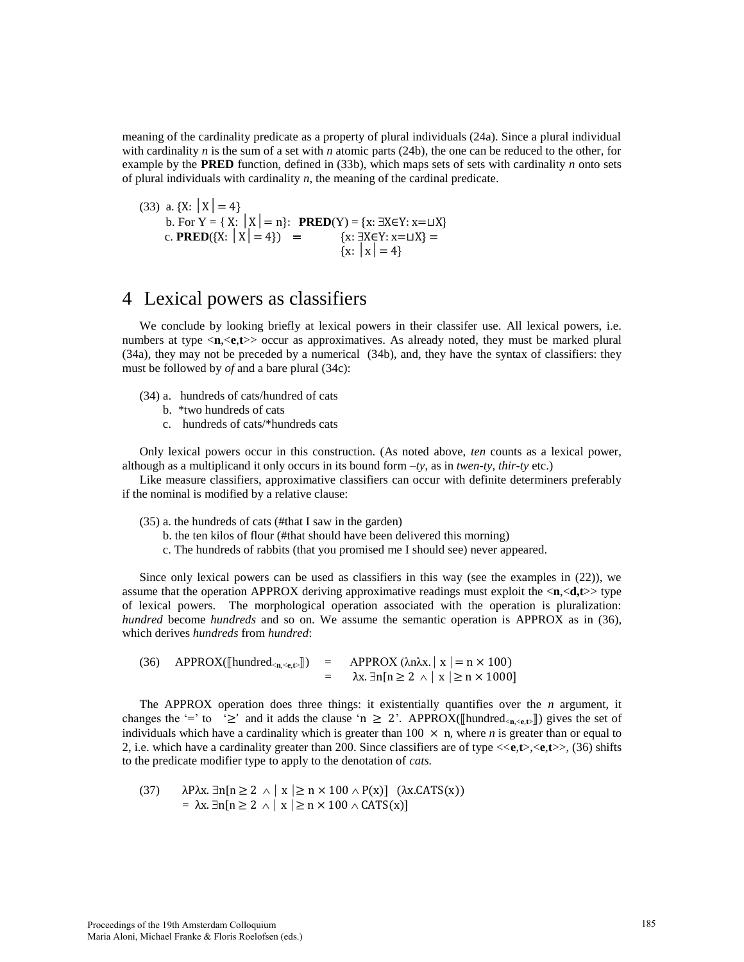meaning of the cardinality predicate as a property of plural individuals (24a). Since a plural individual with cardinality *n* is the sum of a set with *n* atomic parts (24b), the one can be reduced to the other, for example by the **PRED** function, defined in (33b), which maps sets of sets with cardinality *n* onto sets of plural individuals with cardinality *n*, the meaning of the cardinal predicate.

(33) a. {X: 
$$
|X| = 4
$$
}  
b. For Y = { X:  $|X| = n$ }: **PRED**(Y) = {x:  $\exists X \in Y : x = \sqcup X$ }  
c. **PRED**({X:  $|X| = 4$ }) = {x:  $\exists X \in Y : x = \sqcup X$ } = {x:  $|X| = 4$ }

# 4 Lexical powers as classifiers

We conclude by looking briefly at lexical powers in their classifer use. All lexical powers, i.e. numbers at type  $\langle n, \langle e, t \rangle$  occur as approximatives. As already noted, they must be marked plural (34a), they may not be preceded by a numerical (34b), and, they have the syntax of classifiers: they must be followed by *of* and a bare plural (34c):

- (34) a. hundreds of cats/hundred of cats
	- b. \*two hundreds of cats
	- c. hundreds of cats/\*hundreds cats

Only lexical powers occur in this construction. (As noted above, *ten* counts as a lexical power, although as a multiplicand it only occurs in its bound form *–ty*, as in *twen-ty, thir-ty* etc.)

Like measure classifiers, approximative classifiers can occur with definite determiners preferably if the nominal is modified by a relative clause:

(35) a. the hundreds of cats (#that I saw in the garden)

- b. the ten kilos of flour (#that should have been delivered this morning)
- c. The hundreds of rabbits (that you promised me I should see) never appeared.

Since only lexical powers can be used as classifiers in this way (see the examples in (22)), we assume that the operation APPROX deriving approximative readings must exploit the <**n**,<**d,t**>> type of lexical powers. The morphological operation associated with the operation is pluralization: *hundred* become *hundreds* and so on. We assume the semantic operation is APPROX as in (36), which derives *hundreds* from *hundred*:

(36) APPROX( $[\text{hundred}_{<\mathbf{n},<\mathbf{e},\mathbf{t}}]]$ ) = APPROX ( $\lambda$ n $\lambda$ x.  $|x| = n \times 100$ )  $=$   $\lambda x. \exists n[n \geq 2 \land |x| \geq n \times 1000]$ 

The APPROX operation does three things: it existentially quantifies over the *n* argument, it changes the '=' to ' $\geq$ ' and it adds the clause 'n  $\geq$  2'. APPROX( $[\text{hundred}_{\text{cn} \leq \text{c},\text{t}}]]$ ) gives the set of individuals which have a cardinality which is greater than  $100 \times n$ , where *n* is greater than or equal to 2, i.e. which have a cardinality greater than 200. Since classifiers are of type <<**e**,**t**>,<**e**,**t**>>, (36) shifts to the predicate modifier type to apply to the denotation of *cats.* 

(37) 
$$
\lambda P\lambda x. \exists n[n \ge 2 \land |x| \ge n \times 100 \land P(x)] \quad (\lambda x. CATS(x))
$$

$$
= \lambda x. \exists n[n \ge 2 \land |x| \ge n \times 100 \land CATS(x)]
$$